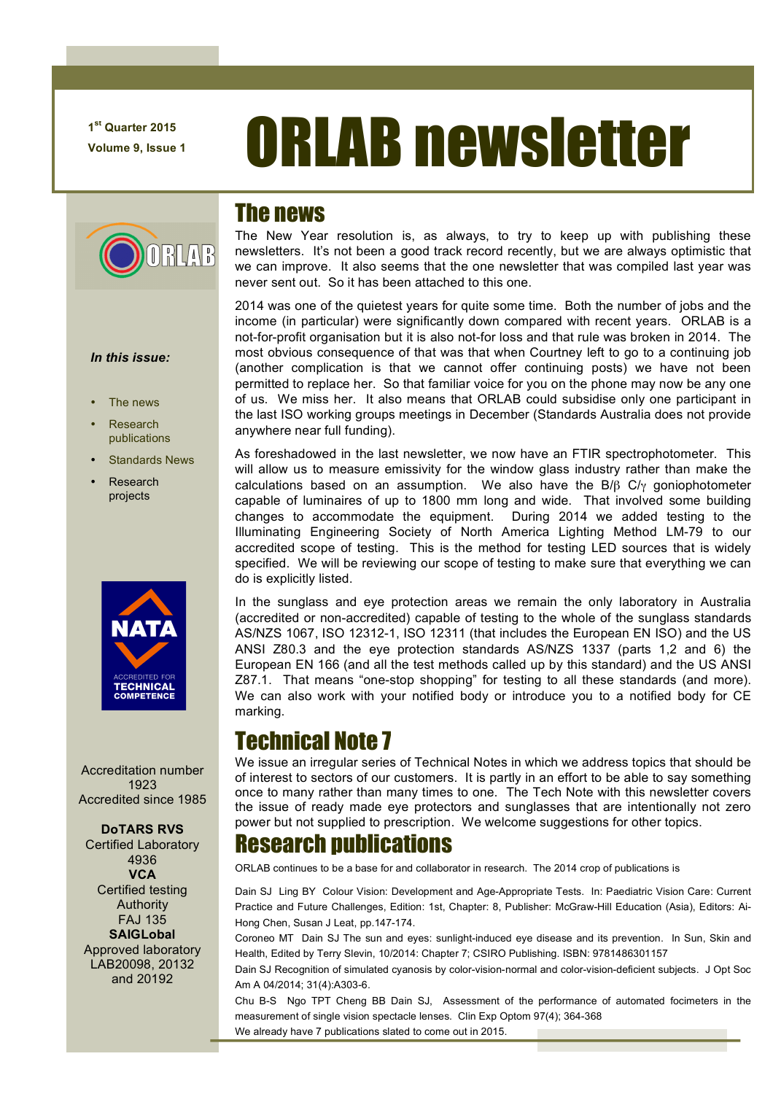**1st Quarter 2015**

**RUAR** 

# **T<sup>st Quarter 2015 ORLAB newsletter**</sup>

### The news

The New Year resolution is, as always, to try to keep up with publishing these newsletters. It's not been a good track record recently, but we are always optimistic that we can improve. It also seems that the one newsletter that was compiled last year was never sent out. So it has been attached to this one.

2014 was one of the quietest years for quite some time. Both the number of jobs and the income (in particular) were significantly down compared with recent years. ORLAB is a not-for-profit organisation but it is also not-for loss and that rule was broken in 2014. The most obvious consequence of that was that when Courtney left to go to a continuing job (another complication is that we cannot offer continuing posts) we have not been permitted to replace her. So that familiar voice for you on the phone may now be any one of us. We miss her. It also means that ORLAB could subsidise only one participant in the last ISO working groups meetings in December (Standards Australia does not provide anywhere near full funding).

As foreshadowed in the last newsletter, we now have an FTIR spectrophotometer. This will allow us to measure emissivity for the window glass industry rather than make the calculations based on an assumption. We also have the B/ $\beta$  C/<sub> $\gamma$ </sub> goniophotometer capable of luminaires of up to 1800 mm long and wide. That involved some building changes to accommodate the equipment. During 2014 we added testing to the Illuminating Engineering Society of North America Lighting Method LM-79 to our accredited scope of testing. This is the method for testing LED sources that is widely specified. We will be reviewing our scope of testing to make sure that everything we can do is explicitly listed.

In the sunglass and eye protection areas we remain the only laboratory in Australia (accredited or non-accredited) capable of testing to the whole of the sunglass standards AS/NZS 1067, ISO 12312-1, ISO 12311 (that includes the European EN ISO) and the US ANSI Z80.3 and the eye protection standards AS/NZS 1337 (parts 1,2 and 6) the European EN 166 (and all the test methods called up by this standard) and the US ANSI Z87.1. That means "one-stop shopping" for testing to all these standards (and more). We can also work with your notified body or introduce you to a notified body for CE marking.

# Technical Note 7

We issue an irregular series of Technical Notes in which we address topics that should be of interest to sectors of our customers. It is partly in an effort to be able to say something once to many rather than many times to one. The Tech Note with this newsletter covers the issue of ready made eye protectors and sunglasses that are intentionally not zero power but not supplied to prescription. We welcome suggestions for other topics.

## Research publications

ORLAB continues to be a base for and collaborator in research. The 2014 crop of publications is

Dain SJ Ling BY Colour Vision: Development and Age-Appropriate Tests. In: Paediatric Vision Care: Current Practice and Future Challenges, Edition: 1st, Chapter: 8, Publisher: McGraw-Hill Education (Asia), Editors: Ai-Hong Chen, Susan J Leat, pp.147-174.

Coroneo MT Dain SJ The sun and eyes: sunlight-induced eye disease and its prevention. In Sun, Skin and Health, Edited by Terry Slevin, 10/2014: Chapter 7; CSIRO Publishing. ISBN: 9781486301157

Dain SJ Recognition of simulated cyanosis by color-vision-normal and color-vision-deficient subjects. J Opt Soc Am A 04/2014; 31(4):A303-6.

Chu B-S Ngo TPT Cheng BB Dain SJ, Assessment of the performance of automated focimeters in the measurement of single vision spectacle lenses. Clin Exp Optom 97(4); 364-368 We already have 7 publications slated to come out in 2015.

#### *In this issue:*

- The news
- Research publications
- Standards News
- **Research** projects



Accreditation number 1923 Accredited since 1985

#### **DoTARS RVS**

Certified Laboratory 4936 **VCA** Certified testing Authority FAJ 135 **SAIGLobal** Approved laboratory LAB20098, 20132 and 20192